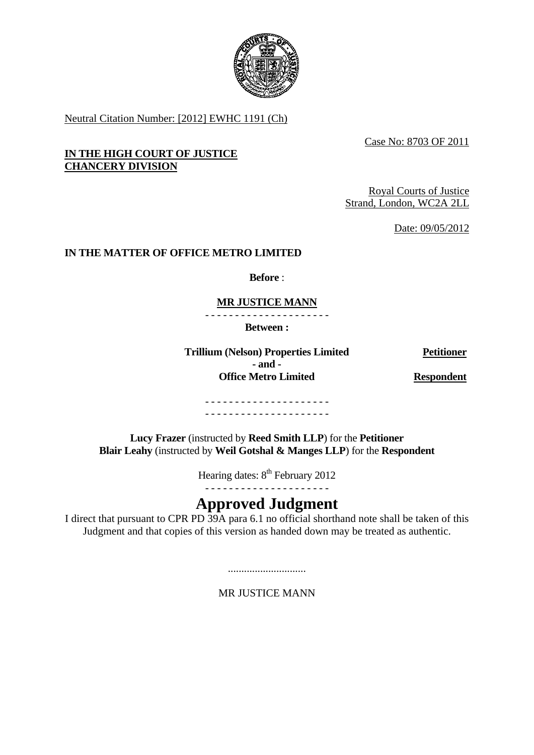

Neutral Citation Number: [2012] EWHC 1191 (Ch)

Case No: 8703 OF 2011

# **IN THE HIGH COURT OF JUSTICE CHANCERY DIVISION**

Royal Courts of Justice Strand, London, WC2A 2LL

Date: 09/05/2012

## **IN THE MATTER OF OFFICE METRO LIMITED**

**Before** :

## **MR JUSTICE MANN**

- - - - - - - - - - - - - - - - - - - - -

**Between :** 

**Trillium (Nelson) Properties Limited Petitioner - and - Office Metro Limited Respondent** 

- - - - - - - - - - - - - - - - - - - - - - - - - - - - - - - - - - - - - - - - - -

**Lucy Frazer** (instructed by **Reed Smith LLP**) for the **Petitioner Blair Leahy** (instructed by **Weil Gotshal & Manges LLP**) for the **Respondent**

Hearing dates: 8<sup>th</sup> February 2012

- - - - - - - - - - - - - - - - - - - - -

# **Approved Judgment**

I direct that pursuant to CPR PD 39A para 6.1 no official shorthand note shall be taken of this Judgment and that copies of this version as handed down may be treated as authentic.

.............................

MR JUSTICE MANN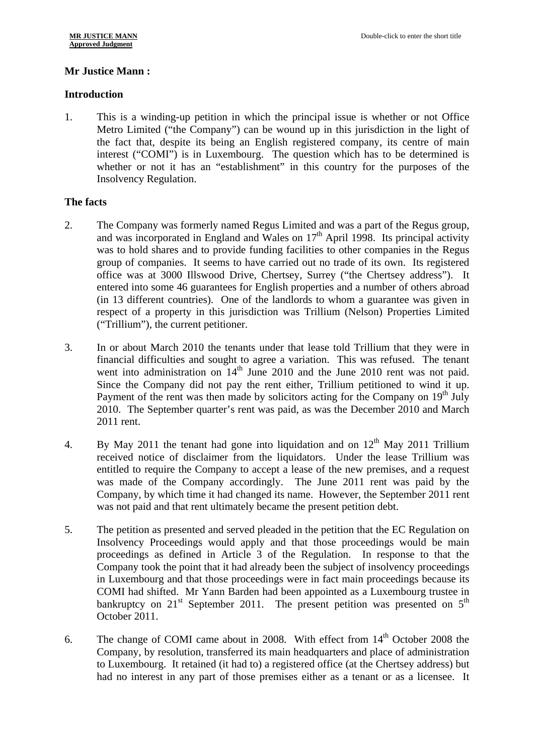## **Mr Justice Mann :**

## **Introduction**

1. This is a winding-up petition in which the principal issue is whether or not Office Metro Limited ("the Company") can be wound up in this jurisdiction in the light of the fact that, despite its being an English registered company, its centre of main interest ("COMI") is in Luxembourg. The question which has to be determined is whether or not it has an "establishment" in this country for the purposes of the Insolvency Regulation.

## **The facts**

- 2. The Company was formerly named Regus Limited and was a part of the Regus group, and was incorporated in England and Wales on  $17<sup>th</sup>$  April 1998. Its principal activity was to hold shares and to provide funding facilities to other companies in the Regus group of companies. It seems to have carried out no trade of its own. Its registered office was at 3000 Illswood Drive, Chertsey, Surrey ("the Chertsey address"). It entered into some 46 guarantees for English properties and a number of others abroad (in 13 different countries). One of the landlords to whom a guarantee was given in respect of a property in this jurisdiction was Trillium (Nelson) Properties Limited ("Trillium"), the current petitioner.
- 3. In or about March 2010 the tenants under that lease told Trillium that they were in financial difficulties and sought to agree a variation. This was refused. The tenant went into administration on  $14<sup>th</sup>$  June 2010 and the June 2010 rent was not paid. Since the Company did not pay the rent either, Trillium petitioned to wind it up. Payment of the rent was then made by solicitors acting for the Company on  $19<sup>th</sup>$  July 2010. The September quarter's rent was paid, as was the December 2010 and March 2011 rent.
- 4. By May 2011 the tenant had gone into liquidation and on  $12<sup>th</sup>$  May 2011 Trillium received notice of disclaimer from the liquidators. Under the lease Trillium was entitled to require the Company to accept a lease of the new premises, and a request was made of the Company accordingly. The June 2011 rent was paid by the Company, by which time it had changed its name. However, the September 2011 rent was not paid and that rent ultimately became the present petition debt.
- 5. The petition as presented and served pleaded in the petition that the EC Regulation on Insolvency Proceedings would apply and that those proceedings would be main proceedings as defined in Article 3 of the Regulation. In response to that the Company took the point that it had already been the subject of insolvency proceedings in Luxembourg and that those proceedings were in fact main proceedings because its COMI had shifted. Mr Yann Barden had been appointed as a Luxembourg trustee in bankruptcy on  $21<sup>st</sup>$  September 2011. The present petition was presented on  $5<sup>th</sup>$ October 2011.
- 6. The change of COMI came about in 2008. With effect from  $14<sup>th</sup>$  October 2008 the Company, by resolution, transferred its main headquarters and place of administration to Luxembourg. It retained (it had to) a registered office (at the Chertsey address) but had no interest in any part of those premises either as a tenant or as a licensee. It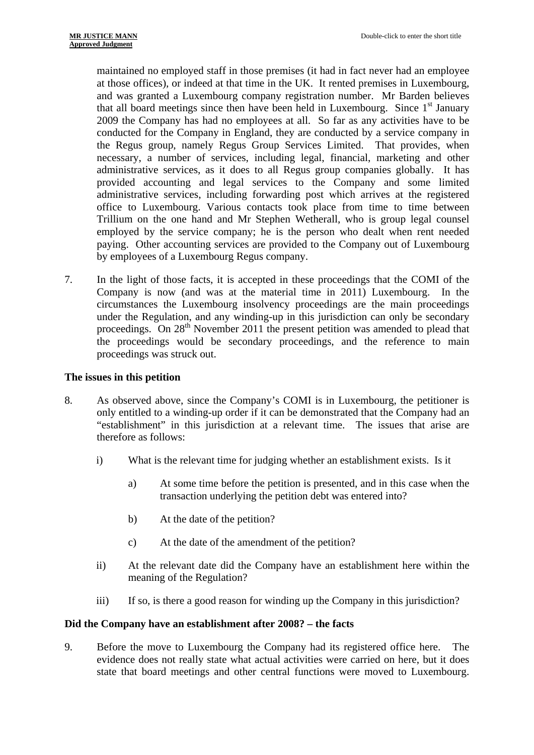maintained no employed staff in those premises (it had in fact never had an employee at those offices), or indeed at that time in the UK. It rented premises in Luxembourg, and was granted a Luxembourg company registration number. Mr Barden believes that all board meetings since then have been held in Luxembourg. Since  $1<sup>st</sup>$  January 2009 the Company has had no employees at all. So far as any activities have to be conducted for the Company in England, they are conducted by a service company in the Regus group, namely Regus Group Services Limited. That provides, when necessary, a number of services, including legal, financial, marketing and other administrative services, as it does to all Regus group companies globally. It has provided accounting and legal services to the Company and some limited administrative services, including forwarding post which arrives at the registered office to Luxembourg. Various contacts took place from time to time between Trillium on the one hand and Mr Stephen Wetherall, who is group legal counsel employed by the service company; he is the person who dealt when rent needed paying. Other accounting services are provided to the Company out of Luxembourg by employees of a Luxembourg Regus company.

7. In the light of those facts, it is accepted in these proceedings that the COMI of the Company is now (and was at the material time in 2011) Luxembourg. In the circumstances the Luxembourg insolvency proceedings are the main proceedings under the Regulation, and any winding-up in this jurisdiction can only be secondary proceedings. On 28<sup>th</sup> November 2011 the present petition was amended to plead that the proceedings would be secondary proceedings, and the reference to main proceedings was struck out.

#### **The issues in this petition**

- 8. As observed above, since the Company's COMI is in Luxembourg, the petitioner is only entitled to a winding-up order if it can be demonstrated that the Company had an "establishment" in this jurisdiction at a relevant time. The issues that arise are therefore as follows:
	- i) What is the relevant time for judging whether an establishment exists. Is it
		- a) At some time before the petition is presented, and in this case when the transaction underlying the petition debt was entered into?
		- b) At the date of the petition?
		- c) At the date of the amendment of the petition?
	- ii) At the relevant date did the Company have an establishment here within the meaning of the Regulation?
	- iii) If so, is there a good reason for winding up the Company in this jurisdiction?

## **Did the Company have an establishment after 2008? – the facts**

9. Before the move to Luxembourg the Company had its registered office here. The evidence does not really state what actual activities were carried on here, but it does state that board meetings and other central functions were moved to Luxembourg.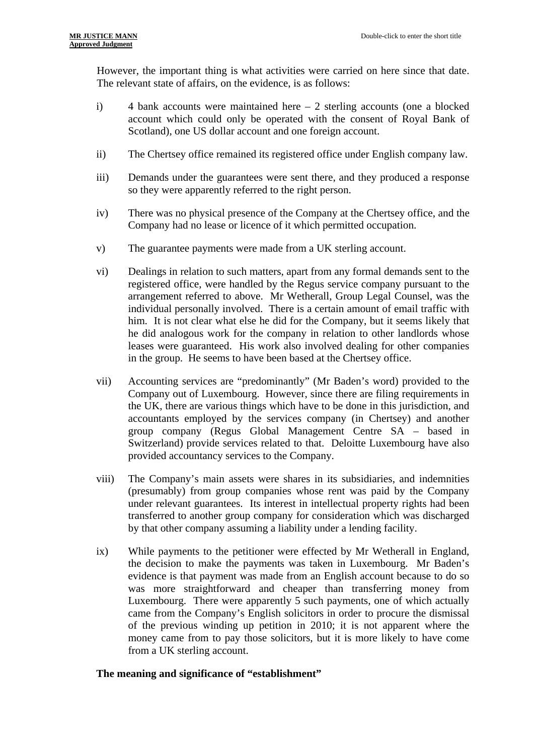However, the important thing is what activities were carried on here since that date. The relevant state of affairs, on the evidence, is as follows:

- i) 4 bank accounts were maintained here 2 sterling accounts (one a blocked account which could only be operated with the consent of Royal Bank of Scotland), one US dollar account and one foreign account.
- ii) The Chertsey office remained its registered office under English company law.
- iii) Demands under the guarantees were sent there, and they produced a response so they were apparently referred to the right person.
- iv) There was no physical presence of the Company at the Chertsey office, and the Company had no lease or licence of it which permitted occupation.
- v) The guarantee payments were made from a UK sterling account.
- vi) Dealings in relation to such matters, apart from any formal demands sent to the registered office, were handled by the Regus service company pursuant to the arrangement referred to above. Mr Wetherall, Group Legal Counsel, was the individual personally involved. There is a certain amount of email traffic with him. It is not clear what else he did for the Company, but it seems likely that he did analogous work for the company in relation to other landlords whose leases were guaranteed. His work also involved dealing for other companies in the group. He seems to have been based at the Chertsey office.
- vii) Accounting services are "predominantly" (Mr Baden's word) provided to the Company out of Luxembourg. However, since there are filing requirements in the UK, there are various things which have to be done in this jurisdiction, and accountants employed by the services company (in Chertsey) and another group company (Regus Global Management Centre SA – based in Switzerland) provide services related to that. Deloitte Luxembourg have also provided accountancy services to the Company.
- viii) The Company's main assets were shares in its subsidiaries, and indemnities (presumably) from group companies whose rent was paid by the Company under relevant guarantees. Its interest in intellectual property rights had been transferred to another group company for consideration which was discharged by that other company assuming a liability under a lending facility.
- ix) While payments to the petitioner were effected by Mr Wetherall in England, the decision to make the payments was taken in Luxembourg. Mr Baden's evidence is that payment was made from an English account because to do so was more straightforward and cheaper than transferring money from Luxembourg. There were apparently 5 such payments, one of which actually came from the Company's English solicitors in order to procure the dismissal of the previous winding up petition in 2010; it is not apparent where the money came from to pay those solicitors, but it is more likely to have come from a UK sterling account.

## **The meaning and significance of "establishment"**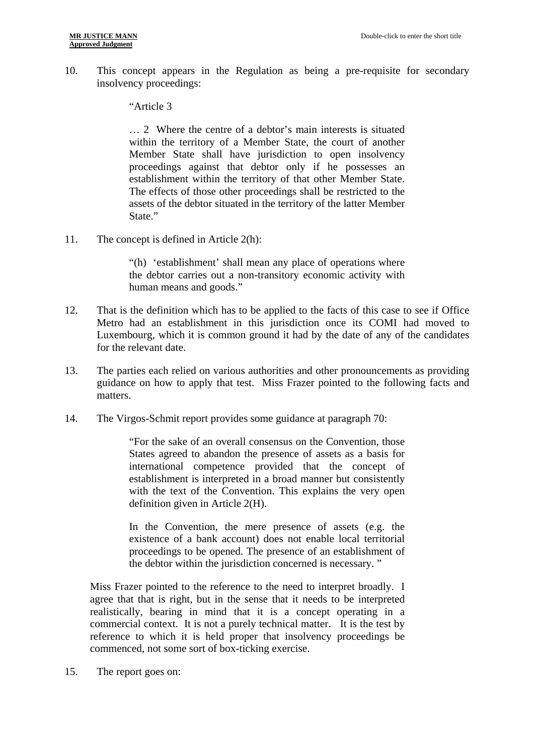10. This concept appears in the Regulation as being a pre-requisite for secondary insolvency proceedings:

"Article 3

… 2 Where the centre of a debtor's main interests is situated within the territory of a Member State, the court of another Member State shall have jurisdiction to open insolvency proceedings against that debtor only if he possesses an establishment within the territory of that other Member State. The effects of those other proceedings shall be restricted to the assets of the debtor situated in the territory of the latter Member State."

11. The concept is defined in Article 2(h):

"(h) 'establishment' shall mean any place of operations where the debtor carries out a non-transitory economic activity with human means and goods."

- 12. That is the definition which has to be applied to the facts of this case to see if Office Metro had an establishment in this jurisdiction once its COMI had moved to Luxembourg, which it is common ground it had by the date of any of the candidates for the relevant date.
- 13. The parties each relied on various authorities and other pronouncements as providing guidance on how to apply that test. Miss Frazer pointed to the following facts and matters.
- 14. The Virgos-Schmit report provides some guidance at paragraph 70:

"For the sake of an overall consensus on the Convention, those States agreed to abandon the presence of assets as a basis for international competence provided that the concept of establishment is interpreted in a broad manner but consistently with the text of the Convention. This explains the very open definition given in Article 2(H).

In the Convention, the mere presence of assets (e.g. the existence of a bank account) does not enable local territorial proceedings to be opened. The presence of an establishment of the debtor within the jurisdiction concerned is necessary. "

Miss Frazer pointed to the reference to the need to interpret broadly. I agree that that is right, but in the sense that it needs to be interpreted realistically, bearing in mind that it is a concept operating in a commercial context. It is not a purely technical matter. It is the test by reference to which it is held proper that insolvency proceedings be commenced, not some sort of box-ticking exercise.

15. The report goes on: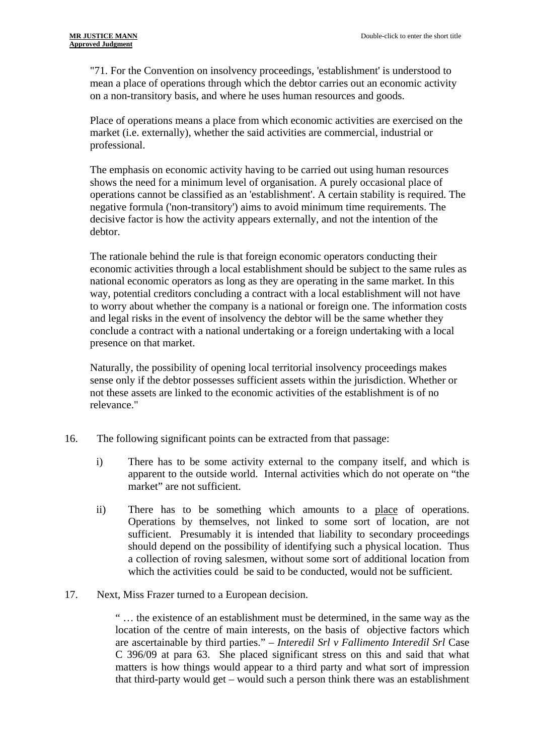"71. For the Convention on insolvency proceedings, 'establishment' is understood to mean a place of operations through which the debtor carries out an economic activity on a non-transitory basis, and where he uses human resources and goods.

Place of operations means a place from which economic activities are exercised on the market (i.e. externally), whether the said activities are commercial, industrial or professional.

The emphasis on economic activity having to be carried out using human resources shows the need for a minimum level of organisation. A purely occasional place of operations cannot be classified as an 'establishment'. A certain stability is required. The negative formula ('non-transitory') aims to avoid minimum time requirements. The decisive factor is how the activity appears externally, and not the intention of the debtor.

The rationale behind the rule is that foreign economic operators conducting their economic activities through a local establishment should be subject to the same rules as national economic operators as long as they are operating in the same market. In this way, potential creditors concluding a contract with a local establishment will not have to worry about whether the company is a national or foreign one. The information costs and legal risks in the event of insolvency the debtor will be the same whether they conclude a contract with a national undertaking or a foreign undertaking with a local presence on that market.

Naturally, the possibility of opening local territorial insolvency proceedings makes sense only if the debtor possesses sufficient assets within the jurisdiction. Whether or not these assets are linked to the economic activities of the establishment is of no relevance."

- 16. The following significant points can be extracted from that passage:
	- i) There has to be some activity external to the company itself, and which is apparent to the outside world. Internal activities which do not operate on "the market" are not sufficient.
	- ii) There has to be something which amounts to a place of operations. Operations by themselves, not linked to some sort of location, are not sufficient. Presumably it is intended that liability to secondary proceedings should depend on the possibility of identifying such a physical location. Thus a collection of roving salesmen, without some sort of additional location from which the activities could be said to be conducted, would not be sufficient.
- 17. Next, Miss Frazer turned to a European decision.

" … the existence of an establishment must be determined, in the same way as the location of the centre of main interests, on the basis of objective factors which are ascertainable by third parties." – *Interedil Srl v Fallimento Interedil Srl* Case C 396/09 at para 63. She placed significant stress on this and said that what matters is how things would appear to a third party and what sort of impression that third-party would get – would such a person think there was an establishment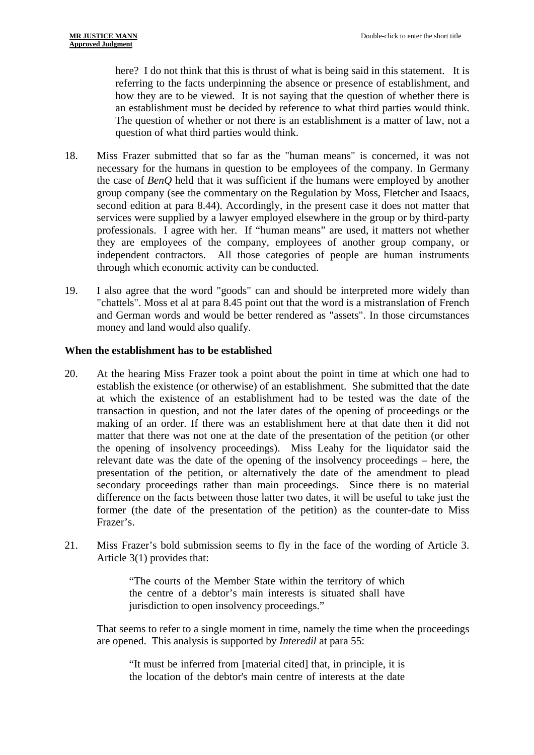here? I do not think that this is thrust of what is being said in this statement. It is referring to the facts underpinning the absence or presence of establishment, and how they are to be viewed. It is not saying that the question of whether there is an establishment must be decided by reference to what third parties would think. The question of whether or not there is an establishment is a matter of law, not a question of what third parties would think.

- 18. Miss Frazer submitted that so far as the "human means" is concerned, it was not necessary for the humans in question to be employees of the company. In Germany the case of *BenQ* held that it was sufficient if the humans were employed by another group company (see the commentary on the Regulation by Moss, Fletcher and Isaacs, second edition at para 8.44). Accordingly, in the present case it does not matter that services were supplied by a lawyer employed elsewhere in the group or by third-party professionals. I agree with her. If "human means" are used, it matters not whether they are employees of the company, employees of another group company, or independent contractors. All those categories of people are human instruments through which economic activity can be conducted.
- 19. I also agree that the word "goods" can and should be interpreted more widely than "chattels". Moss et al at para 8.45 point out that the word is a mistranslation of French and German words and would be better rendered as "assets". In those circumstances money and land would also qualify.

#### **When the establishment has to be established**

- 20. At the hearing Miss Frazer took a point about the point in time at which one had to establish the existence (or otherwise) of an establishment. She submitted that the date at which the existence of an establishment had to be tested was the date of the transaction in question, and not the later dates of the opening of proceedings or the making of an order. If there was an establishment here at that date then it did not matter that there was not one at the date of the presentation of the petition (or other the opening of insolvency proceedings). Miss Leahy for the liquidator said the relevant date was the date of the opening of the insolvency proceedings – here, the presentation of the petition, or alternatively the date of the amendment to plead secondary proceedings rather than main proceedings. Since there is no material difference on the facts between those latter two dates, it will be useful to take just the former (the date of the presentation of the petition) as the counter-date to Miss Frazer's.
- 21. Miss Frazer's bold submission seems to fly in the face of the wording of Article 3. Article 3(1) provides that:

"The courts of the Member State within the territory of which the centre of a debtor's main interests is situated shall have jurisdiction to open insolvency proceedings."

That seems to refer to a single moment in time, namely the time when the proceedings are opened. This analysis is supported by *Interedil* at para 55:

"It must be inferred from [material cited] that, in principle, it is the location of the debtor's main centre of interests at the date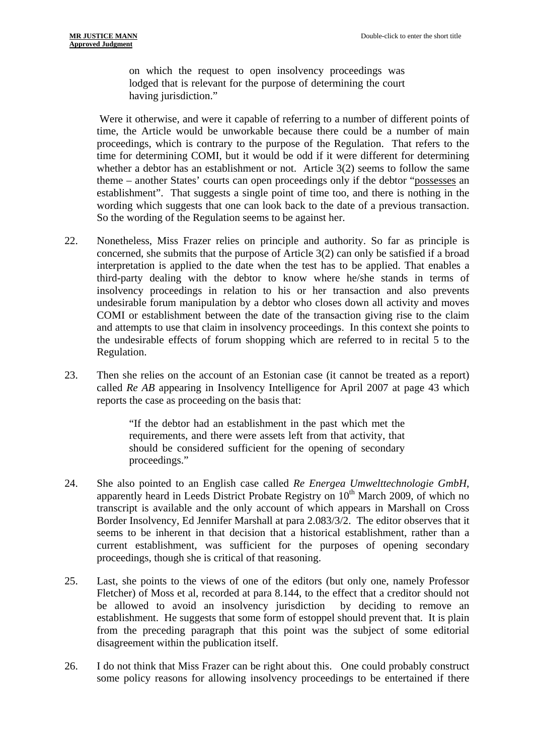on which the request to open insolvency proceedings was lodged that is relevant for the purpose of determining the court having jurisdiction."

 Were it otherwise, and were it capable of referring to a number of different points of time, the Article would be unworkable because there could be a number of main proceedings, which is contrary to the purpose of the Regulation. That refers to the time for determining COMI, but it would be odd if it were different for determining whether a debtor has an establishment or not. Article  $3(2)$  seems to follow the same theme – another States' courts can open proceedings only if the debtor "possesses an establishment". That suggests a single point of time too, and there is nothing in the wording which suggests that one can look back to the date of a previous transaction. So the wording of the Regulation seems to be against her.

- 22. Nonetheless, Miss Frazer relies on principle and authority. So far as principle is concerned, she submits that the purpose of Article 3(2) can only be satisfied if a broad interpretation is applied to the date when the test has to be applied. That enables a third-party dealing with the debtor to know where he/she stands in terms of insolvency proceedings in relation to his or her transaction and also prevents undesirable forum manipulation by a debtor who closes down all activity and moves COMI or establishment between the date of the transaction giving rise to the claim and attempts to use that claim in insolvency proceedings. In this context she points to the undesirable effects of forum shopping which are referred to in recital 5 to the Regulation.
- 23. Then she relies on the account of an Estonian case (it cannot be treated as a report) called *Re AB* appearing in Insolvency Intelligence for April 2007 at page 43 which reports the case as proceeding on the basis that:

"If the debtor had an establishment in the past which met the requirements, and there were assets left from that activity, that should be considered sufficient for the opening of secondary proceedings."

- 24. She also pointed to an English case called *Re Energea Umwelttechnologie GmbH*, apparently heard in Leeds District Probate Registry on  $10<sup>th</sup>$  March 2009, of which no transcript is available and the only account of which appears in Marshall on Cross Border Insolvency, Ed Jennifer Marshall at para 2.083/3/2. The editor observes that it seems to be inherent in that decision that a historical establishment, rather than a current establishment, was sufficient for the purposes of opening secondary proceedings, though she is critical of that reasoning.
- 25. Last, she points to the views of one of the editors (but only one, namely Professor Fletcher) of Moss et al, recorded at para 8.144, to the effect that a creditor should not be allowed to avoid an insolvency jurisdiction by deciding to remove an establishment. He suggests that some form of estoppel should prevent that. It is plain from the preceding paragraph that this point was the subject of some editorial disagreement within the publication itself.
- 26. I do not think that Miss Frazer can be right about this. One could probably construct some policy reasons for allowing insolvency proceedings to be entertained if there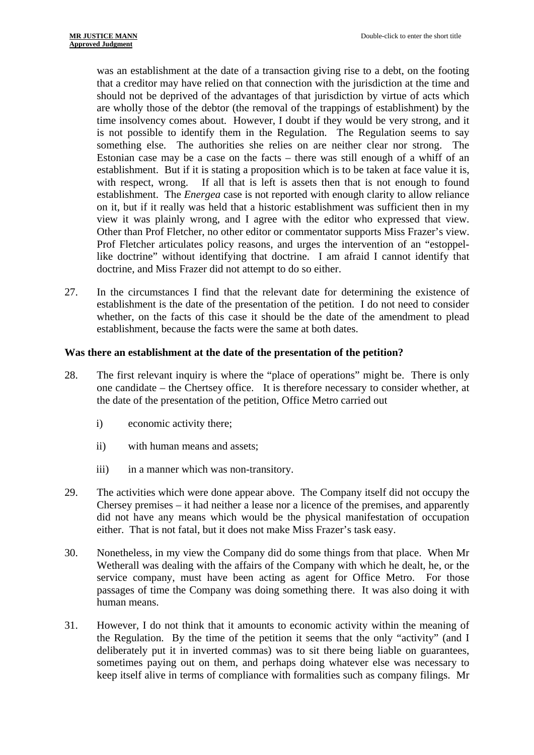was an establishment at the date of a transaction giving rise to a debt, on the footing that a creditor may have relied on that connection with the jurisdiction at the time and should not be deprived of the advantages of that jurisdiction by virtue of acts which are wholly those of the debtor (the removal of the trappings of establishment) by the time insolvency comes about. However, I doubt if they would be very strong, and it is not possible to identify them in the Regulation. The Regulation seems to say something else. The authorities she relies on are neither clear nor strong. The Estonian case may be a case on the facts – there was still enough of a whiff of an establishment. But if it is stating a proposition which is to be taken at face value it is, with respect, wrong. If all that is left is assets then that is not enough to found establishment. The *Energea* case is not reported with enough clarity to allow reliance on it, but if it really was held that a historic establishment was sufficient then in my view it was plainly wrong, and I agree with the editor who expressed that view. Other than Prof Fletcher, no other editor or commentator supports Miss Frazer's view. Prof Fletcher articulates policy reasons, and urges the intervention of an "estoppellike doctrine" without identifying that doctrine. I am afraid I cannot identify that doctrine, and Miss Frazer did not attempt to do so either.

27. In the circumstances I find that the relevant date for determining the existence of establishment is the date of the presentation of the petition. I do not need to consider whether, on the facts of this case it should be the date of the amendment to plead establishment, because the facts were the same at both dates.

#### **Was there an establishment at the date of the presentation of the petition?**

- 28. The first relevant inquiry is where the "place of operations" might be. There is only one candidate – the Chertsey office. It is therefore necessary to consider whether, at the date of the presentation of the petition, Office Metro carried out
	- i) economic activity there;
	- ii) with human means and assets;
	- iii) in a manner which was non-transitory.
- 29. The activities which were done appear above. The Company itself did not occupy the Chersey premises – it had neither a lease nor a licence of the premises, and apparently did not have any means which would be the physical manifestation of occupation either. That is not fatal, but it does not make Miss Frazer's task easy.
- 30. Nonetheless, in my view the Company did do some things from that place. When Mr Wetherall was dealing with the affairs of the Company with which he dealt, he, or the service company, must have been acting as agent for Office Metro. For those passages of time the Company was doing something there. It was also doing it with human means.
- 31. However, I do not think that it amounts to economic activity within the meaning of the Regulation. By the time of the petition it seems that the only "activity" (and I deliberately put it in inverted commas) was to sit there being liable on guarantees, sometimes paying out on them, and perhaps doing whatever else was necessary to keep itself alive in terms of compliance with formalities such as company filings. Mr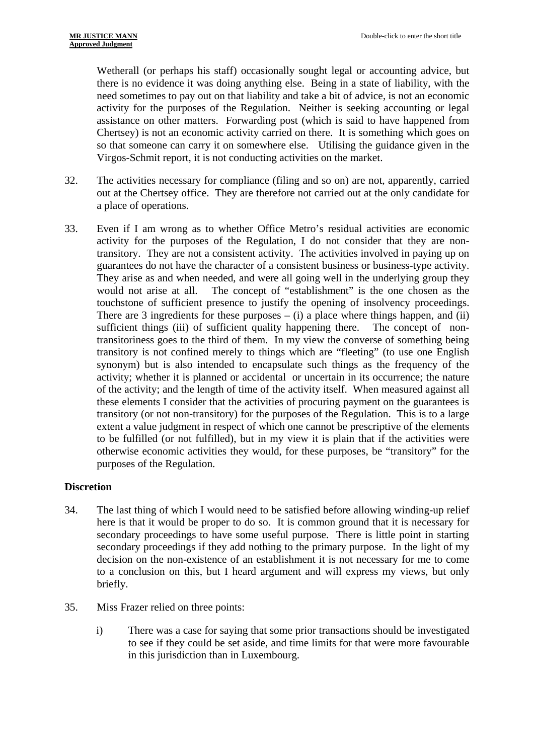Wetherall (or perhaps his staff) occasionally sought legal or accounting advice, but there is no evidence it was doing anything else. Being in a state of liability, with the need sometimes to pay out on that liability and take a bit of advice, is not an economic activity for the purposes of the Regulation. Neither is seeking accounting or legal assistance on other matters. Forwarding post (which is said to have happened from Chertsey) is not an economic activity carried on there. It is something which goes on so that someone can carry it on somewhere else. Utilising the guidance given in the Virgos-Schmit report, it is not conducting activities on the market.

- 32. The activities necessary for compliance (filing and so on) are not, apparently, carried out at the Chertsey office. They are therefore not carried out at the only candidate for a place of operations.
- 33. Even if I am wrong as to whether Office Metro's residual activities are economic activity for the purposes of the Regulation, I do not consider that they are nontransitory. They are not a consistent activity. The activities involved in paying up on guarantees do not have the character of a consistent business or business-type activity. They arise as and when needed, and were all going well in the underlying group they would not arise at all. The concept of "establishment" is the one chosen as the touchstone of sufficient presence to justify the opening of insolvency proceedings. There are 3 ingredients for these purposes  $-$  (i) a place where things happen, and (ii) sufficient things (iii) of sufficient quality happening there. The concept of nontransitoriness goes to the third of them. In my view the converse of something being transitory is not confined merely to things which are "fleeting" (to use one English synonym) but is also intended to encapsulate such things as the frequency of the activity; whether it is planned or accidental or uncertain in its occurrence; the nature of the activity; and the length of time of the activity itself. When measured against all these elements I consider that the activities of procuring payment on the guarantees is transitory (or not non-transitory) for the purposes of the Regulation. This is to a large extent a value judgment in respect of which one cannot be prescriptive of the elements to be fulfilled (or not fulfilled), but in my view it is plain that if the activities were otherwise economic activities they would, for these purposes, be "transitory" for the purposes of the Regulation.

## **Discretion**

- 34. The last thing of which I would need to be satisfied before allowing winding-up relief here is that it would be proper to do so. It is common ground that it is necessary for secondary proceedings to have some useful purpose. There is little point in starting secondary proceedings if they add nothing to the primary purpose. In the light of my decision on the non-existence of an establishment it is not necessary for me to come to a conclusion on this, but I heard argument and will express my views, but only briefly.
- 35. Miss Frazer relied on three points:
	- i) There was a case for saying that some prior transactions should be investigated to see if they could be set aside, and time limits for that were more favourable in this jurisdiction than in Luxembourg.